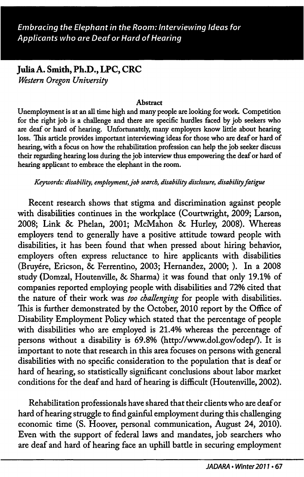# Julia A. Smith, Ph.D., LPC, CRC Western Oregon University

#### **Abstract**

Unemployment is at an all time high and many people are looking for work. Competition for the right job is a challenge and there are specific hurdles faced by job seekers who are deaf or hard of hearing. Unfortunately, many employers know little about hearing loss. This article provides important interviewing ideas for those who are deaf or hard of hearing, with a focus on how the rehabilitation profession can help the job seeker discuss their regarding hearing loss during the job interview thus empowering the deaf or hard of hearing applicant to embrace the elephant in the room.

Keywords: disabilityy employment, job search, disability disclosure, disability fatigue

Recent research shows that stigma and discrimination against people with disabilities continues in the workplace (Courtwright, 2009; Larson, 2008; Link & Phelan, 2001; McMahon & Hurley, 2008). Whereas employers tend to generally have a positive attitude toward people with disabilities, it has been found that when pressed about hiring behavior, employers often express reluctance to hire applicants with disabilities (Bruyere, Ericson, 6c Ferrentino, 2003; Hernandez, 2000; ). In a 2008 study (Domzal, Houtenville, 6c Sharma) it was found that only 19.1% of companies reported employing people with disabilities and 72% cited that the nature of their work was too challenging for people with disabilities. This is further demonstrated by the October, 2010 report by the Office of Disability Employment Policy which stated that the percentage of people with disabilities who are employed is 21.4% whereas the percentage of persons without a disability is 69.8% (http://www.dol.gov/odep/). It is important to note that research in this area focuses on persons with general disabilities with no specific consideration to the population that is deaf or hard of hearing, so statistically significant conclusions about labor market conditions for the deaf and hard of hearing is difficult (Houtenville, 2002).

Rehabilitation professionals have shared that their clients who are deaf or hard of hearing struggle to find gainful employment during this challenging economic time (S. Hoover, personal communication, August 24, 2010). Even with the support of federal laws and mandates, job searchers who are deaf and hard of hearing face an uphill battle in securing employment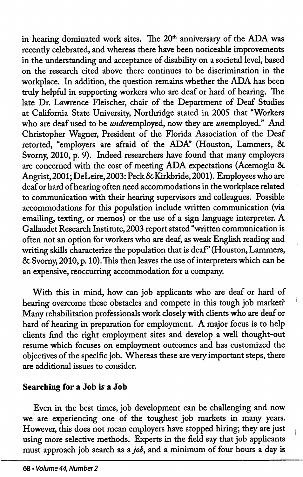in hearing dominated work sites. The 20<sup>th</sup> anniversary of the ADA was recentiy celebrated, and whereas there have been noticeable improvements in the understanding and acceptance of disability on a societal level, based on the research cited above there continues to be discrimination in the workplace. In addition, the question remains whether the ADA has been truly helpful in supporting workers who are deaf or hard of hearing. The late Dr. Lawrence Fleischer, chair of the Department of Deaf Studies at California State University, Northridge stated in 2005 that "Workers who are deaf used to be *under*employed, now they are *un*employed." And Christopher Wagner, President of the Florida Association of the Deaf retorted, "employers are afraid of the ADA" (Houston, Lammers, & Svorny, 2010, p. 9). Indeed researchers have found that many employers are concerned with the cost of meeting ADA expectations (Acemoglu 8c Angrist,2001; DeLeire,2003: Peck 8c Kirkbride, 2001). Employees who are deaf or hard of hearing often need accommodations in the workplace related to communication with their hearing supervisors and colleagues. Possible accommodations for this population include written communication (via emailing, texting, or memos) or the use of a sign language interpreter. A Gallaudet Research Institute, 2003 report stated "written communication is often not an option for workers who are deaf, as weak English reading and writing skills characterize the population that is deaf" (Houston, Lammers, 8c Svorny, 2010, p. 10). This then leaves the use of interpreters which can be an expensive, reoccurring accommodation for a company.

With this in mind, how can job applicants who are deaf or hard of hearing overcome these obstacles and compete in this tough job market? Many rehabilitation professionals work closely with clients who are deaf or hard of hearing in preparation for employment. A major focus is to help clients find the right employment sites and develop a well thought-out resume which focuses on employment outcomes and has customized the objectives of the specific job. Whereas these are very important steps, there are additional issues to consider.

### Searching for a Job is a Job

Even in the best times, job development can be challenging and now we are experiencing one of the toughest job markets in many years. However, this does not mean employers have stopped hiring; they are just using more selective methods. Experts in the field say that job applicants must approach job search as a job, and a minimum of four hours a day is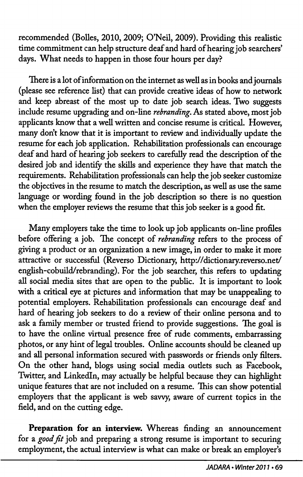recommended (Bolles, 2010, 2009; O'Neil, 2009). Providing this realistic time commitment can help structure deaf and hard of hearing job searchers' days. What needs to happen in those four hours per day?

There is a lot of information on the intemet as well as in books and joumals (please see reference list) that can provide creative ideas of how to network and keep abreast of the most up to date job search ideas. Two suggests include resume upgrading and on-line rebranding. As stated above, most job applicants know that a well written and concise resume is critical. However, many don't know that it is important to review and individually update the resume for each job application. Rehabilitation professionals can encourage deaf and hard of hearing job seekers to carefully read the description of the desired job and identify the skills and experience they have that match the requirements. Rehabilitation professionals can help the job seeker customize the objectives in the resume to match the description, as well as use the same language or wording found in the job description so there is no question when the employer reviews the resume that this job seeker is a good fit.

Many employers take the time to look up job applicants on-line profiles before offering a job. The concept of *rebranding* refers to the process of giving a product or an organization a new image, in order to make it more attractive or successful (Reverso Dictionary, http://dictionary.reverso.net/ english-cobuild/rebranding). For the job searcher, this refers to updating all social media sites that are open to the public. It is important to look with a critical eye at pictures and information that may be unappealing to potential employers. Rehabilitation professionals can encourage deaf and hard of hearing job seekers to do a review of their online persona and to ask a family member or trusted friend to provide suggestions. The goal is to have the online virtual presence free of rude comments, embarrassing photos, or any hint of legal troubles. Online accounts should be cleaned up and all personal information secured with passwords or friends only filters. On the other hand, blogs using social media outlets such as Facebook, Twitter, and Linkedin, may actually be helpful because they can highlight unique features that are not included on a resume. This can show potential employers that the applicant is web savvy, aware of current topics in the field, and on the cutting edge.

Preparation for an interview. Whereas finding an announcement for a good fit job and preparing a strong resume is important to securing employment, the actual interview is what can make or break an employer's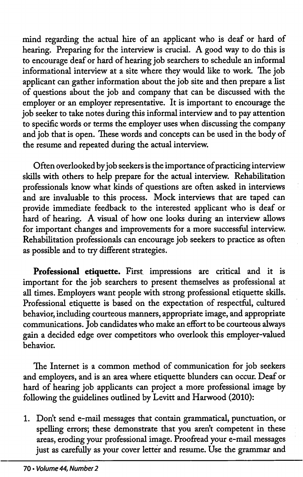mind regarding the actual hire of an applicant who is deaf or hard of hearing. Preparing for the interview is crucial. A good way to do this is to encourage deaf or hard of hearing job searchers to schedule an informal informational interview at a site where they would like to work. The job applicant can gather information about the job site and then prepare a list of questions about the job and company that can be discussed with the employer or an employer representative. It is important to encourage the job seeker to take notes during this informal interview and to pay attention to specific words or terms the employer uses when discussing the company and job that is open. These words and concepts can be used in the body of the resume and repeated during the actual interview.

Often overlooked by job seekers is the importance of practicing interview skills with others to help prepare for the actual interview. Rehabilitation professionals know what kinds of questions are often asked in interviews and are invaluable to this process. Mock interviews that are taped can provide immediate feedback to the interested applicant who is deaf or hard of hearing. A visual of how one looks during an interview allows for important changes and improvements for a more successful interview. Rehabilitation professionals can encourage job seekers to practice as often as possible and to try different strategies.

Professional etiquette. First impressions are critical and it is important for the job searchers to present themselves as professional at all times. Employers want people with strong professional etiquette skills. Professional etiquette is based on the expectation of respectful, cultured behavior, including courteous manners, appropriate image, and appropriate communications. Job candidates who make an effort to be courteous always gain a decided edge over competitors who overlook this employer-valued behavior.

The Internet is a common method of communication for job seekers and employers, and is an area where etiquette blunders can occur. Deaf or hard of hearing job applicants can project a more professional image by following the guidelines outlined by Levitt and Harwood (2010):

1. Don't send e-mail messages that contain grammatical, punctuation, or spelling errors; these demonstrate that you aren't competent in these areas, eroding your professional image. Proofread your e-mail messages just as carefully as your cover letter and resume. Use the grammar and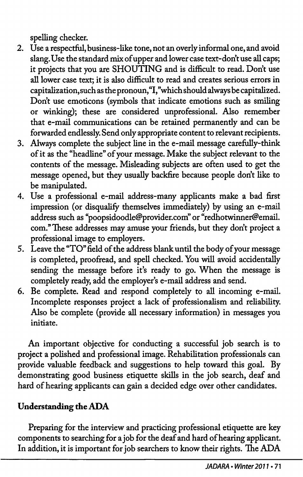spelling checker.

- 2. Use a respectful, business-like tone, not an overly informal one, and avoid slang. Use the standard mix of upper and lower case text-don't use all caps; it projects that you are SHOUTING and is difficult to read. Don't use all lower case text; it is also difficult to read and creates serious errors in capitalization, such as the pronoun,"I,''which should always be capitalized. Don't use emoticons (symbols that indicate emotions such as smiling or winking); these are considered unprofessional. Also remember that e-mail communications can be retained permanendy and can be forwarded endlessly. Send only appropriate content to relevant recipients.
- 3. Always complete the subject line in the e-mail message carefuUy-think of it as the "headline" of your message. Make the subject relevant to the contents of the message. Misleading subjects are often used to get the message opened, but they usually backfire because people don't like to be manipulated.
- 4. Use a professional e-mail address-many applicants make a bad first impression (or disqualify themselves immediately) by using an e-mail address such as "poopsidoodle@provider.com" or "redhotwinner@email. com." These addresses may amuse your friends, but they don't project a professional image to employers.
- 5. Leave the "TO" field of the address blank until the body of your message is completed, proofread, and spell checked. You wiU avoid accidentally sending the message before it's ready to go. When the message is completely ready, add the employer's e-mail address and send.
- 6. Be complete. Read and respond completely to all incoming e-mail. Incomplete responses project a lack of professionalism and reliability. Also be complete (provide all necessary information) in messages you initiate.

An important objective for conducting a successful job search is to project a polished and professional image. Rehabilitation professionals can provide valuable feedback and suggestions to help toward this goal. By demonstrating good business etiquette skills in the job search, deaf and hard of hearing applicants can gain a decided edge over other candidates.

# Understanding the ADA

Preparing for the interview and practicing professional etiquette are key components to searching for a job for the deaf and hard of hearing applicant. In addition, it is important for job searchers to know their rights. The ADA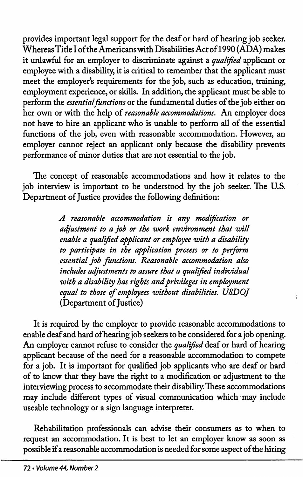provides important legal support for the deaf or hard of hearing job seeker. Whereas Title I of the Americans with Disabilities Act of 1990 (ADA) makes it unlawful for an employer to discriminate against a qualified applicant or employee with a disability, it is critical to remember that the applicant must meet the employer's requirements for the job, such as education, training, employment experience, or skills. In addition, the applicant must be able to perform the essential functions or the fundamental duties of the job either on her own or with the help of reasonable accommodations. An employer does not have to hire an applicant who is unable to perform all of the essential functions of the job, even with reasonable accommodation. However, an employer cannot reject an applicant only because the disability prevents performance of minor duties that are not essential to the job.

The concept of reasonable accommodations and how it relates to the job interview is important to be understood by the job seeker. The U.S. Department of Justice provides the following definition:

> A reasonable accommodation is any modification or adjustment to a job or the work environment that will enable a qualified applicant or employee with a disability to participate in the application process or to perform essential job functions. Reasonable accommodation also includes adjustments to assure that a qualified individual with a disability has rights and privileges in employment equal to those of employees without disabilities. USDOJ (Department of Justice)

It is required by the employer to provide reasonable accommodations to enable deaf and hard of hearing job seekers to be considered for a job opening. An employer cannot refuse to consider the qualified deaf or hard of hearing applicant because of the need for a reasonable accommodation to compete for a job. It is important for qualified job applicants who are deaf or hard of to know that they have the right to a modification or adjustment to the interviewing process to accommodate their disability. These accommodations may include different types of visual communication which may include useable technology or a sign language interpreter.

Rehabilitation professionals can advise their consumers as to when to request an accommodation. It is best to let an employer know as soon as possible if a reasonable accommodation is needed for some aspect of the hiring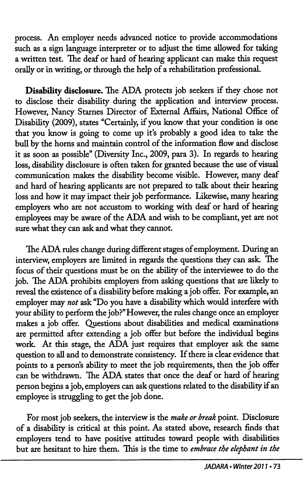process. An employer needs advanced notice to provide accommodations such as a sign language interpreter or to adjust the time allowed for taking a written test. The deaf or hard of hearing applicant can make this request orally or in writing, or through the help of a rehabilitation professional.

Disability disclosure. The ADA protects job seekers if they chose not to disclose their disability during the application and interview process. However, Nancy Starnes Director of External Affairs, National Office of Disability (2009), states "Certainly, if you know that your condition is one that you know is going to come up it's probably a good idea to take the bull by the horns and maintain control of the information flow and disclose it as soon as possible" (Diversity Inc., 2009, para 3). In regards to hearing loss, disability disclosure is often taken for granted because the use of visual communication makes the disability become visible. However, many deaf and hard of hearing applicants are not prepared to talk about their hearing loss and how it may impact their job performance. Likewise, many hearing employers who are not accustom to working with deaf or hard of hearing employees may be aware of the ADA and wish to be compliant, yet are not sure what they can ask and what they cannot.

The ADA rules change during different stages of employment. During an interview, employers are limited in regards the questions they can ask. The focus of their questions must be on the ability of the interviewee to do the job. The ADA prohibits employers from asking questions that are likely to reveal the existence of a disability before making a job offer. For example, an employer may not ask "Do you have a disability which would interfere with your ability to perform the job?" However, the rules change once an employer makes a job offer. Questions about disabilities and medical examinations are permitted after extending a job offer but before the individual begins work. At this stage, the ADA just requires that employer ask the same question to all and to demonstrate consistency. If there is clear evidence that points to a person's ability to meet the job requirements, then the job offer can be withdrawn. The ADA states that once the deaf or hard of hearing person begins a job, employers can ask questions related to the disability if an employee is struggling to get the job done.

For most job seekers, the interview is the make or break point. Disclosure of a disability is critical at this point. As stated above, research finds that employers tend to have positive attitudes toward people with disabilities but are hesitant to hire them. This is the time to *embrace the elephant in the*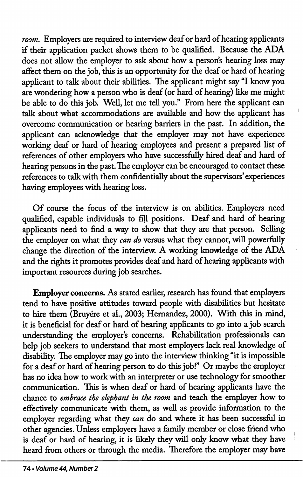room. Employers are required to interview deaf or hard of hearing applicants if their application packet shows them to be qualified. Because the ADA does not allow the employer to ask about how a person's hearing loss may affect them on the job, this is an opportunity for the deaf or hard of hearing applicant to talk about their abilities. The applicant might say "I know you are wondering how a person who is deaf (or hard of hearing) like me might be able to do this job. Well, let me tell you." From here the applicant can talk about what accommodations are available and how the applicant has overcome communication or hearing barriers in the past. In addition, the applicant can acknowledge that the employer may not have experience working deaf or hard of hearing employees and present a prepared list of references of other employers who have successfully hired deaf and hard of hearing persons in the past. The employer can be encouraged to contact these references to talk with them confidentially about the supervisors'experiences having employees with hearing loss.

Of course the focus of the interview is on abilities. Employers need qualified, capable individuals to fill positions. Deaf and hard of hearing applicants need to find a way to show that they are that person. Selling the employer on what they *can do* versus what they cannot, will powerfully change the direction of the interview. A working knowledge of the ADA and the rights it promotes provides deaf and hard of hearing applicants with important resources during job searches.

Employer concerns. As stated earlier, research has found that employers tend to have positive attitudes toward people with disabilities but hesitate to hire them (Bruyere et al., 2003; Hernandez, 2000). With this in mind, it is beneficial for deaf or hard of hearing applicants to go into a job search understanding the employer's concerns. Rehabilitation professionals can help job seekers to understand that most employers lack real knowledge of disability. The employer may go into the interview thinking "it is impossible for a deaf or hard of hearing person to do this job!" Or maybe the employer has no idea how to work with an interpreter or use technology for smoother communication. This is when deaf or hard of hearing applicants have the chance to embrace the elephant in the room and teach the employer how to effectively communicate with them, as well as provide information to the employer regarding what they can do and where it has been successful in other agencies. Unless employers have a family member or close firiend who is deaf or hard of hearing, it is likely they will only know what they have heard from others or through the media. Therefore the employer may have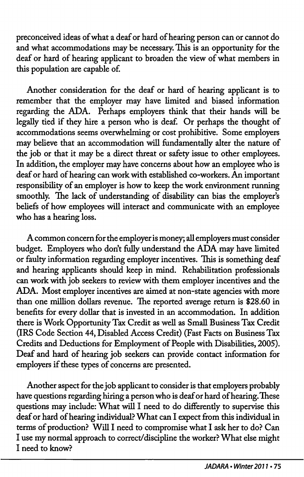preconceived ideas of what a deaf or hard of hearing person can or cannot do and what accommodations may be necessary. This is an opportunity for the deaf or hard of hearing applicant to broaden the view of what members in this population are capable of.

Another consideration for the deaf or hard of hearing applicant is to remember that the employer may have limited and biased information regarding the ADA. Perhaps employers think that their hands will be legally tied if they hire a person who is deaf. Or perhaps the thought of accommodations seems overwhelming or cost prohibitive. Some employers may believe that an accommodation will fundamentally alter the nature of the job or that it may be a direct threat or safety issue to other employees. In addition, the employer may have concerns about how an employee who is deaf or hard of hearing can work with established co-workers. An important responsibility of an employer is how to keep the work environment running smoothly. The lack of understanding of disability can bias the employer's beliefs of how employees will interact and communicate with an employee who has a hearing loss.

A common concern for the employer is money; all employers must consider budget. Employers who don't fully understand the ADA may have limited or faulty information regarding employer incentives. This is something deaf and hearing applicants should keep in mind. Rehabilitation professionals can work with job seekers to review with them employer incentives and the ADA. Most employer incentives are aimed at non-state agencies with more than one million dollars revenue. The reported average return is \$28.60 in benefits for every dollar that is invested in an accommodation. In addition there is Work Opportunity Tax Credit as well as Small Business Tax Credit (IRS Code Section 44, Disabled Access Credit) (Fast Facts on Business Tax Credits and Deductions for Employment of People with Disabilities, 2005). Deaf and hard of hearing job seekers can provide contact information for employers if these types of concerns are presented.

Another aspect for the job applicant to consider is that employers probably have questions regarding hiring a person who is deaf or hard of hearing. These questions may include: What wiU I need to do differently to supervise this deaf or hard of hearing individual? What can I expect from this individual in terms of production? Will I need to compromise what I ask her to do? Can I use my normal approach to correct/discipline the worker? What else might I need to know?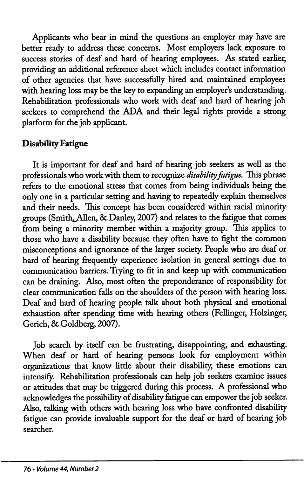Applicants who bear in mind the questions an employer may have are better ready to address these concerns. Most employers lack exposure to success stories of deaf and hard of hearing employees. As stated earlier, providing an additional reference sheet which includes contact information of other agencies that have successfiilly hired and maintained employees with hearing loss may be the key to expanding an employer's understanding. Rehabilitation professionals who work with deaf and hard of hearing job seekers to comprehend the ADA and their legal rights provide a strong platform for the job applicant.

# Disability Fatigue

It is important for deaf and hard of hearing job seekers as well as the professionals who work with them to recognize disability fatigue. This phrase refers to the emotional stress that comes from being individuals being the only one in a particular setting and having to repeatedly explain themselves and their needs. This concept has been considered within racial minority groups (Smith, Allen, & Danley, 2007) and relates to the fatigue that comes from being a minority member within a majority group. This applies to those who have a disability because they often have to fight the common misconceptions and ignorance of the larger society. People who are deaf or hard of hearing frequently experience isolation in general settings due to communication barriers. Trying to fit in and keep up with communication can be draining. Also, most often the preponderance of responsibility for clear communication falls on the shoulders of the person with hearing loss. Deaf and hard of hearing people talk about both physical and emotional exhaustion after spending time with hearing others (Fellinger, Holzinger, Gerich, & Goldberg, 2007).

Job search by itself can be frustrating, disappointing, and exhausting. When deaf or hard of hearing persons look for employment within organizations that know little about their disability, these emotions can intensify. Rehabilitation professionals can help job seekers examine issues or attitudes that may be triggered during this process. A professional who acknowledges the possibility of disability fatigue can empower the job seeker. Also, talking with others with hearing loss who have confronted disability fatigue can provide invaluable support for the deaf or hard of hearing job searcher.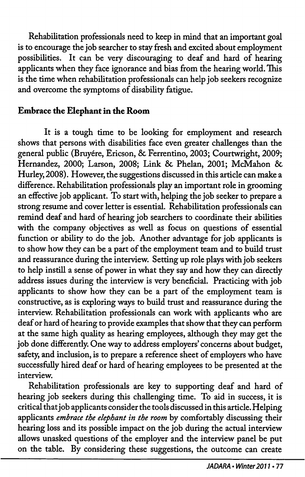Rehabilitation professionals need to keep in mind that an important goal is to encourage the job searcher to stay fresh and excited about employment possibilities. It can be very discouraging to deaf and hard of hearing applicants when they face ignorance and bias from the hearing world. This is the time when rehabilitation professionals can help job seekers recognize and overcome the symptoms of disability fatigue.

# Embrace the Elephant in the Room

It is a tough time to be looking for employment and research shows that persons with disabilities face even greater challenges than the general public (Bruyére, Ericson, & Ferrentino, 2003; Courtwright, 2009; Hernandez, 2000; Larson, 2008; Link & Phelan, 2001; McMahon & Hurley, 2008). However, the suggestions discussed in this article can make a difference. Rehabilitation professionals play an important role in grooming an effective job applicant. To start with, helping the job seeker to prepare a strong resume and cover letter is essential. Rehabilitation professionals can remind deaf and hard of hearing job searchers to coordinate their abilities with the company objectives as well as focus on questions of essential function or ability to do the job. Another advantage for job applicants is to show how they can be a part of the employment team and to build trust and reassurance during the interview. Setting up role plays with job seekers to help instill a sense of power in what they say and how they can directly address issues during the interview is very beneficial. Practicing with job applicants to show how they can be a part of the employment team is constructive, as is exploring ways to build trust and reassurance during the interview. Rehabilitation professionals can work with applicants who are deaf or hard of hearing to provide examples that show that they can perform at the same high quality as hearing employees, although they may get the job done differently. One way to address employers' concerns about budget, safety, and inclusion, is to prepare a reference sheet of employers who have successfully hired deaf or hard of hearing employees to be presented at the interview.

Rehabilitation professionals are key to supporting deaf and hard of hearing job seekers during this challenging time. To aid in success, it is critical that job applicants consider the tools discussed in this article. Helping applicants embrace the elephant in the room by comfortably discussing their hearing loss and its possible impact on the job during the actual interview allows unasked questions of the employer and the interview panel be put on the table. By considering these suggestions, the outcome can create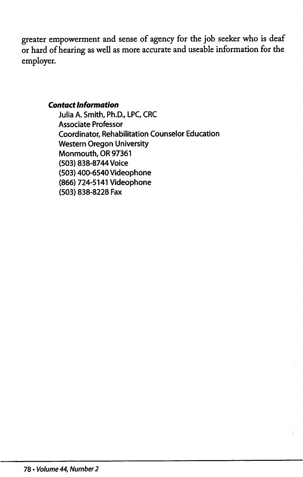greater empowerment and sense of agency for the job seeker who is deaf or hard of hearing as well as more accurate and useable information for the employer.

### Contact Information

Julia A. Smith, Ph.D., LPC, CRC Associate Professor Coordinator, Rehabilitation Counselor Education Western Oregon University Monmouth, OR 97361 (503) 838-8744 Voice (503) 400-6540 Videophone (866) 724-5141 Videophone (503) 838-8228 Fax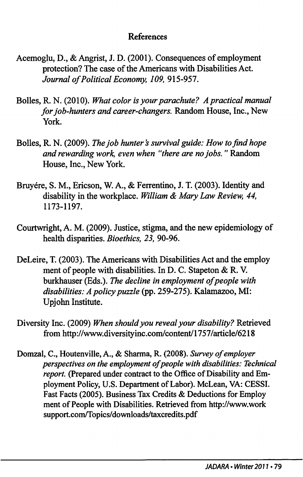## References

- Acemoglu, D., & Angrist, J. D. (2001). Consequences of employment protection? The case of the Americans with Disabilities Act. Journal of Political Economy, 109, 915-957.
- Bolles, R. N. (2010). What color is your parachute? A practical manual for job-hunters and career-changers. Random House, Inc., New York.
- Bolles, R. N. (2009). The job hunter's survival guide: How to find hope and rewarding work, even when "there are no jobs." Random House, Inc., New York.
- Bruyére, S. M., Ericson, W. A., & Ferrentino, J. T. (2003). Identity and disability in the workplace. William & Mary Law Review, 44, 1173-1197.
- Courtwright, A. M. (2009). Justice, stigma, and the new epidemiology of health disparities. Bioethics, 23, 90-96.
- DeLeire, T. (2003). The Americans with Disabilities Act and the employ ment of people with disabilities. In D. C. Stapeton & R. V. burkhauser (Eds.). The decline in employment of people with disabilities: A policy puzzle (pp. 259-275). Kalamazoo, MI: Upjohn Institute.
- Diversity Inc. (2009) When should you reveal your disability? Retrieved from http://www.diversityinc.coni/content/l 757/article/6218
- Domzal, C., Houtenville, A., & Sharma, R. (2008). Survey of employer perspectives on the employment of people with disabilities: Technical report. (Prepared under contract to the Office of Disability and Em ployment Policy, U.S. Department of Labor). McLean, VA: CESSI. Fast Facts (2005). Business Tax Credits & Deductions for Employ ment of People with Disabilities. Retrieved from http://www.work support.com/Topics/downloads/taxcredits.pdf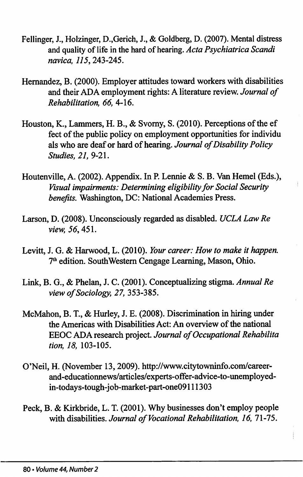- Fellinger, J., Holzinger, D.,Gerich, J., & Goldberg, D. (2007). Mental distress and quality of life in the hard of hearing. Acta Psychiatrica Scandi navica, 115,243-245.
- Hernandez, B. (2000). Employer attitudes toward workers with disabilities and their ADA employment rights: A literature review. Journal of Rehabilitation, 66, 4-16.
- Houston, K., Lammers, H. B., & Svomy, S. (2010). Perceptions of the ef feet of the public policy on employment opportunities for individu als who are deaf or hard of hearing. Journal of Disability Policy Studies, 21, 9-21.
- Houtenville, A. (2002). Appendix. In P. Lennie & S. B. Van Hemel (Eds.), Visual impairments: Determining eligibility for Social Security benefits. Washington, DC: National Academies Press.
- Larson, D. (2008). Unconsciously regarded as disabled. UCLA Law Re view, 56,451.
- Levitt, J. G. & Harwood, L. (2010). Your career: How to make it happen. 7<sup>th</sup> edition. SouthWestern Cengage Learning, Mason, Ohio.
- Link, B. G., & Phelan, J. C. (2001). Conceptualizing stigma. Annual Re view of Sociology, 27, 353-385.
- McMahon, B. T., & Hurley, J. E. (2008). Discrimination in hiring under the Americas with Disabilities Act: An overview of the national EEOC ADA research project. Journal of Occupational Rehabilita tion, 18, 103-105.
- O'Neil, H. (November 13, 2009). http://www.citytowninfo.com/careerand-educationnews/articles/experts-offer-advice-to-unemployedin-todays-tough-job-market-part-one09111303
- Peck, B. & Kirkbride, L. T. (2001). Why businesses don't employ people with disabilities. Journal of Vocational Rehabilitation, 16, 71-75.